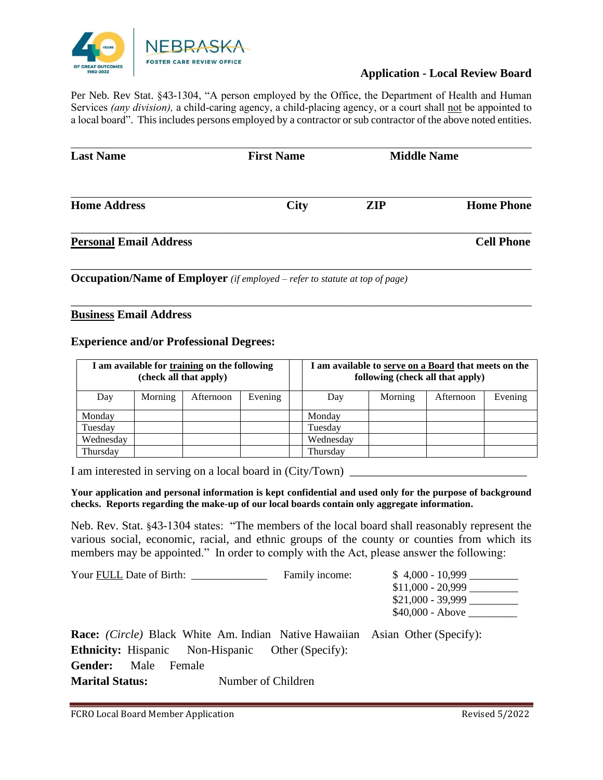

## **Application - Local Review Board**

Per Neb. Rev Stat. §43-1304, "A person employed by the Office, the Department of Health and Human Services *(any division)*, a child-caring agency, a child-placing agency, or a court shall not be appointed to a local board". This includes persons employed by a contractor or sub contractor of the above noted entities.

| <b>Last Name</b>              | <b>First Name</b> | <b>Middle Name</b> |                   |
|-------------------------------|-------------------|--------------------|-------------------|
| <b>Home Address</b>           | <b>City</b>       | <b>ZIP</b>         | <b>Home Phone</b> |
| <b>Personal Email Address</b> |                   |                    | <b>Cell Phone</b> |

\_\_\_\_\_\_\_\_\_\_\_\_\_\_\_\_\_\_\_\_\_\_\_\_\_\_\_\_\_\_\_\_\_\_\_\_\_\_\_\_\_\_\_\_\_\_\_\_\_\_\_\_\_\_\_\_\_\_\_\_\_\_\_\_\_\_\_\_\_\_\_\_\_\_\_\_\_\_

**Occupation/Name of Employer** *(if employed – refer to statute at top of page)*

### **Business Email Address**

#### **Experience and/or Professional Degrees:**

| I am available for training on the following<br>(check all that apply) |         | I am available to serve on a Board that meets on the<br>following (check all that apply) |         |           |         |           |         |
|------------------------------------------------------------------------|---------|------------------------------------------------------------------------------------------|---------|-----------|---------|-----------|---------|
| Day                                                                    | Morning | Afternoon                                                                                | Evening | Day       | Morning | Afternoon | Evening |
| Monday                                                                 |         |                                                                                          |         | Monday    |         |           |         |
| Tuesday                                                                |         |                                                                                          |         | Tuesday   |         |           |         |
| Wednesday                                                              |         |                                                                                          |         | Wednesday |         |           |         |
| Thursday                                                               |         |                                                                                          |         | Thursdav  |         |           |         |

I am interested in serving on a local board in (City/Town) \_

#### **Your application and personal information is kept confidential and used only for the purpose of background checks. Reports regarding the make-up of our local boards contain only aggregate information.**

Neb. Rev. Stat. §43-1304 states: "The members of the local board shall reasonably represent the various social, economic, racial, and ethnic groups of the county or counties from which its members may be appointed." In order to comply with the Act, please answer the following:

| Your FULL Date of Birth:                                                            | Family income:     | $$4,000 - 10,999$  |  |  |
|-------------------------------------------------------------------------------------|--------------------|--------------------|--|--|
|                                                                                     |                    | $$11,000 - 20,999$ |  |  |
|                                                                                     |                    | $$21,000 - 39,999$ |  |  |
|                                                                                     |                    | $$40,000 - Above$  |  |  |
| <b>Race:</b> (Circle) Black White Am. Indian Native Hawaiian Asian Other (Specify): |                    |                    |  |  |
| <b>Ethnicity:</b> Hispanic Non-Hispanic Other (Specify):                            |                    |                    |  |  |
| Gender:<br>Male<br>Female                                                           |                    |                    |  |  |
| <b>Marital Status:</b>                                                              | Number of Children |                    |  |  |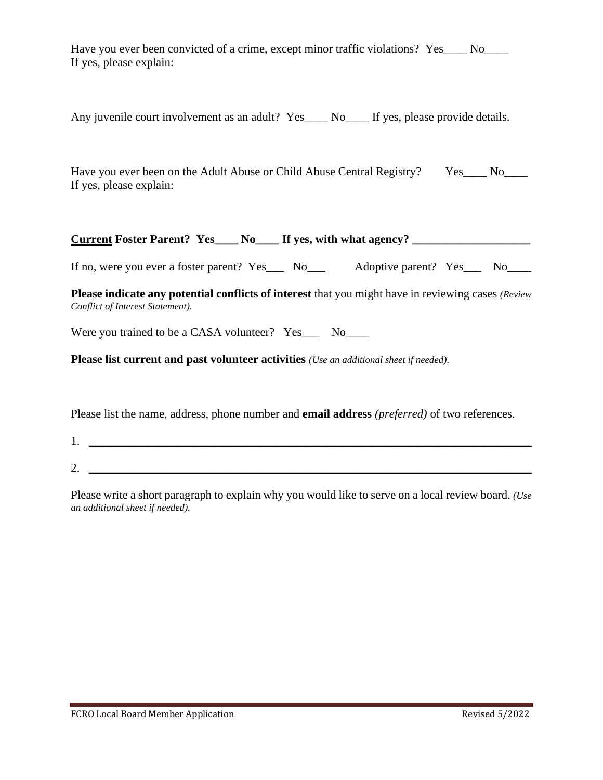Have you ever been convicted of a crime, except minor traffic violations? Yes\_\_\_\_ No\_\_\_\_ If yes, please explain:

Any juvenile court involvement as an adult? Yes\_\_\_\_ No\_\_\_\_ If yes, please provide details.

Have you ever been on the Adult Abuse or Child Abuse Central Registry? Yes\_\_\_\_ No\_\_\_\_ If yes, please explain:

# **Current Foster Parent? Yes\_\_\_\_ No\_\_\_\_ If yes, with what agency? \_\_\_\_\_\_\_\_\_\_\_\_\_\_\_\_\_\_\_\_**

If no, were you ever a foster parent? Yes\_\_\_ No\_\_\_ Adoptive parent? Yes\_\_\_ No\_\_\_

**Please indicate any potential conflicts of interest** that you might have in reviewing cases *(Review Conflict of Interest Statement).*

Were you trained to be a CASA volunteer? Yes\_\_\_ No\_\_\_\_

**Please list current and past volunteer activities** *(Use an additional sheet if needed).*

Please list the name, address, phone number and **email address** *(preferred)* of two references.

 $1.$   $\Box$ 

 $2.$   $\frac{1}{2}$   $\frac{1}{2}$   $\frac{1}{2}$   $\frac{1}{2}$   $\frac{1}{2}$   $\frac{1}{2}$   $\frac{1}{2}$   $\frac{1}{2}$   $\frac{1}{2}$   $\frac{1}{2}$   $\frac{1}{2}$   $\frac{1}{2}$   $\frac{1}{2}$   $\frac{1}{2}$   $\frac{1}{2}$   $\frac{1}{2}$   $\frac{1}{2}$   $\frac{1}{2}$   $\frac{1}{2}$   $\frac{1}{2}$   $\frac{1}{2}$   $\frac{1}{$ 

Please write a short paragraph to explain why you would like to serve on a local review board. *(Use an additional sheet if needed).*